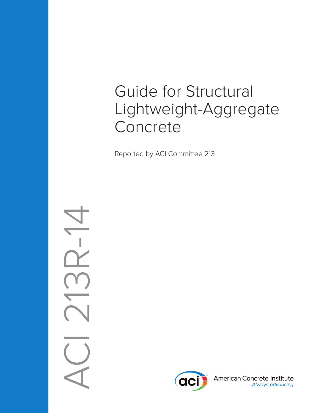# Guide for Structural Lightweight-Aggregate Concrete

Reported by ACI Committee 213





American Concrete Institute Always advancing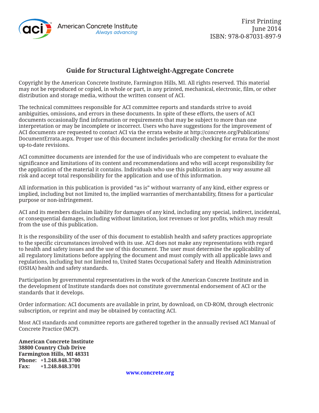

### **Guide for Structural Lightweight-Aggregate Concrete**

Copyright by the American Concrete Institute, Farmington Hills, MI. All rights reserved. This material may not be reproduced or copied, in whole or part, in any printed, mechanical, electronic, film, or other distribution and storage media, without the written consent of ACI.

The technical committees responsible for ACI committee reports and standards strive to avoid ambiguities, omissions, and errors in these documents. In spite of these efforts, the users of ACI documents occasionally find information or requirements that may be subject to more than one interpretation or may be incomplete or incorrect. Users who have suggestions for the improvement of ACI documents are requested to contact ACI via the errata website at http://concrete.org/Publications/ DocumentErrata.aspx. Proper use of this document includes periodically checking for errata for the most up-to-date revisions.

ACI committee documents are intended for the use of individuals who are competent to evaluate the significance and limitations of its content and recommendations and who will accept responsibility for the application of the material it contains. Individuals who use this publication in any way assume all risk and accept total responsibility for the application and use of this information.

All information in this publication is provided "as is" without warranty of any kind, either express or implied, including but not limited to, the implied warranties of merchantability, fitness for a particular purpose or non-infringement.

ACI and its members disclaim liability for damages of any kind, including any special, indirect, incidental, or consequential damages, including without limitation, lost revenues or lost profits, which may result from the use of this publication.

It is the responsibility of the user of this document to establish health and safety practices appropriate to the specific circumstances involved with its use. ACI does not make any representations with regard to health and safety issues and the use of this document. The user must determine the applicability of all regulatory limitations before applying the document and must comply with all applicable laws and regulations, including but not limited to, United States Occupational Safety and Health Administration (OSHA) health and safety standards.

Participation by governmental representatives in the work of the American Concrete Institute and in the development of Institute standards does not constitute governmental endorsement of ACI or the standards that it develops.

Order information: ACI documents are available in print, by download, on CD-ROM, through electronic subscription, or reprint and may be obtained by contacting ACI.

Most ACI standards and committee reports are gathered together in the annually revised ACI Manual of Concrete Practice (MCP).

**American Concrete Institute 38800 Country Club Drive Farmington Hills, MI 48331 Phone: +1.248.848.3700 Fax: +1.248.848.3701**

**www.concrete.org**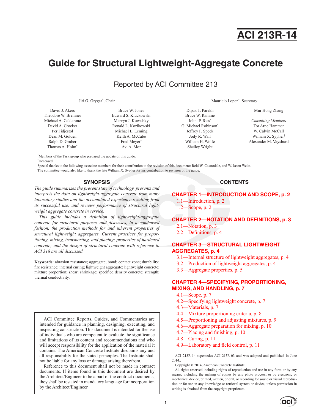## **Guide for Structural Lightweight-Aggregate Concrete**

Reported by ACI Committee 213

#### Jiri G. Grygar\*

David J. Akers Theodore W. Bremner Michael A. Caldarone David A. Crocker Per Fidjestol Dean M. Golden Ralph D. Gruber Thomas A. Holm\*

Bruce W. Jones Edward S. Kluckowski Mervyn J. Kowalsky Ronald L. Kozikowski Michael L. Leming Keith A. McCabe Fred Meyer\* Avi A. Mor

, Chair Mauricio Lopez<sup>\*</sup>, Secretary

Min-Hong Zhang

*Consulting Members* Tor Arne Hammer

W. Calvin McCall William X. Sypher† Alexander M. Vaysburd

\* Members of the Task group who prepared the update of this guide.

† Deceased.

Special thanks to the following associate members for their contribution to the revision of this document: Reid W. Castrodale, and W. Jason Weiss. The committee would also like to thank the late William X. Sypher for his contribution to revision of the guide.

#### **SYNOPSIS**

*The guide summarizes the present state of technology, presents and interprets the data on lightweight-aggregate concrete from many laboratory studies and the accumulated experience resulting from its successful use, and reviews performance of structural lightweight aggregate concrete in service.*

*This guide includes a definition of lightweight-aggregate concrete for structural purposes and discusses, in a condensed fashion, the production methods for and inherent properties of structural lightweight aggregates. Current practices for proportioning, mixing, transporting, and placing; properties of hardened concrete; and the design of structural concrete with reference to ACI 318 are all discussed.*

**Keywords:** abrasion resistance; aggregate; bond; contact zone; durability; fire resistance; internal curing; lightweight aggregate; lightweight concrete; mixture proportion; shear; shrinkage; specified density concrete; strength; thermal conductivity.

ACI Committee Reports, Guides, and Commentaries are intended for guidance in planning, designing, executing, and inspecting construction. This document is intended for the use of individuals who are competent to evaluate the significance and limitations of its content and recommendations and who will accept responsibility for the application of the material it contains. The American Concrete Institute disclaims any and all responsibility for the stated principles. The Institute shall not be liable for any loss or damage arising therefrom.

Reference to this document shall not be made in contract documents. If items found in this document are desired by the Architect/Engineer to be a part of the contract documents, they shall be restated in mandatory language for incorporation by the Architect/Engineer.

#### **CONTENTS**

#### **CHAPTER 1—INTRODUCTION AND SCOPE, p. 2**

1.1—Introduction, p. 2 1.2—Scope, p. 2

Dipak T. Parekh Bruce W. Ramme John. P. Ries\* G. Michael Robinson<sup>\*</sup> Jeffrey F. Speck Jody R. Wall William H. Wolfe Shelley Wright

#### **CHAPTER 2—NOTATION AND DEFINITIONS, p. 3**

- 2.1––Notation, p. 3
- 2.2––Definitions, p. 4

#### **CHAPTER 3––STRUCTURAL LIGHTWEIGHT AGGREGATES, p. 4**

- 3.1—Internal structure of lightweight aggregates, p. 4
- 3.2—Production of lightweight aggregates, p. 4
- 3.3—Aggregate properties, p. 5

#### **CHAPTER 4—SPECIFYING, PROPORTIONING, MIXING, AND HANDLING, p. 7**

- 4.1—Scope, p. 7
- 4.2—Specifying lightweight concrete, p. 7
- 4.3—Materials, p. 7
- 4.4—Mixture proportioning criteria, p. 8
- 4.5—Proportioning and adjusting mixtures, p. 9
- 4.6—Aggregate preparation for mixing, p. 10
- 4.7—Placing and finishing, p. 10
- 4.8—Curing, p. 11
- 4.9—Laboratory and field control, p. 11

ACI 213R-14 supersedes ACI 213R-03 and was adopted and published in June 2014..

Copyright © 2014, American Concrete Institute.

All rights reserved including rights of reproduction and use in any form or by any means, including the making of copies by any photo process, or by electronic or mechanical device, printed, written, or oral, or recording for sound or visual reproduction or for use in any knowledge or retrieval system or device, unless permission in writing is obtained from the copyright proprietors.